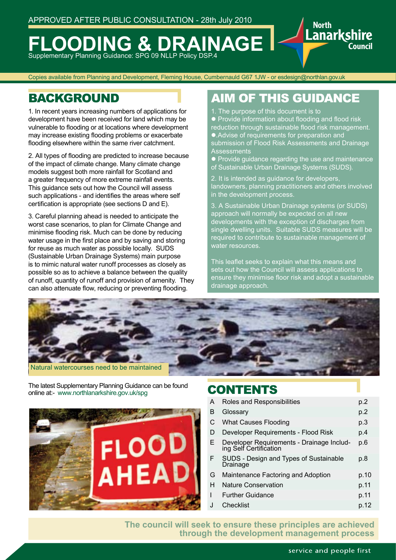# **FOODING & DRAINAGE** Supplementary Planning Guidance: SPG 09 NLLP Policy DSP.4

Copies available from Planning and Development, Fleming House, Cumbernauld G67 1JW - or esdesign@northlan.gov.uk

1. In recent years increasing numbers of applications for development have been received for land which may be vulnerable to flooding or at locations where development may increase existing flooding problems or exacerbate flooding elsewhere within the same river catchment.

2. All types of flooding are predicted to increase because of the impact of climate change. Many climate change models suggest both more rainfall for Scotland and a greater frequency of more extreme rainfall events. This guidance sets out how the Council will assess such applications - and identifies the areas where self certification is appropriate (see sections D and E).

3. Careful planning ahead is needed to anticipate the worst case scenarios, to plan for Climate Change and minimise flooding risk. Much can be done by reducing water usage in the first place and by saving and storing for reuse as much water as possible locally. SUDS (Sustainable Urban Drainage Systems) main purpose is to mimic natural water runoff processes as closely as possible so as to achieve a balance between the quality of runoff, quantity of runoff and provision of amenity. They can also attenuate flow, reducing or preventing flooding.

# BACKGROUND **AIM OF THIS GUIDANCE**

Lanarkshire

Council

- 1. The purpose of this document is to
- Provide information about flooding and flood risk
- reduction through sustainable flood risk management. l.Advise of requirements for preparation and submission of Flood Risk Assessments and Drainage **Assessments**
- **Provide quidance regarding the use and maintenance**
- of Sustainable Urban Drainage Systems (SUDS).
- 2. It is intended as guidance for developers, landowners, planning practitioners and others involved in the development process.

3. A Sustainable Urban Drainage systems (or SUDS) approach will normally be expected on all new developments with the exception of discharges from single dwelling units. Suitable SUDS measures will be required to contribute to sustainable management of water resources.

This leaflet seeks to explain what this means and sets out how the Council will assess applications to ensure they minimise floor risk and adopt a sustainable drainage approach.



The latest Supplementary Planning Guidance can be found<br> **CONTENTS** online at:- www.northlanarkshire.gov.uk/spg



| А  | Roles and Responsibilities                                          | p.2  |
|----|---------------------------------------------------------------------|------|
| B  | Glossary                                                            | p.2  |
| С  | <b>What Causes Flooding</b>                                         | p.3  |
| D  | Developer Requirements - Flood Risk                                 | p.4  |
| E. | Developer Requirements - Drainage Includ-<br>ing Self Certification | p.6  |
| F  | SUDS - Design and Types of Sustainable<br>Drainage                  | p.8  |
| G  | Maintenance Factoring and Adoption                                  | p.10 |
| н  | <b>Nature Conservation</b>                                          | p.11 |
| L  | <b>Further Guidance</b>                                             | p.11 |
| J  | Checklist                                                           | p.12 |
|    |                                                                     |      |

**The council will seek to ensure these principles are achieved through the development management process**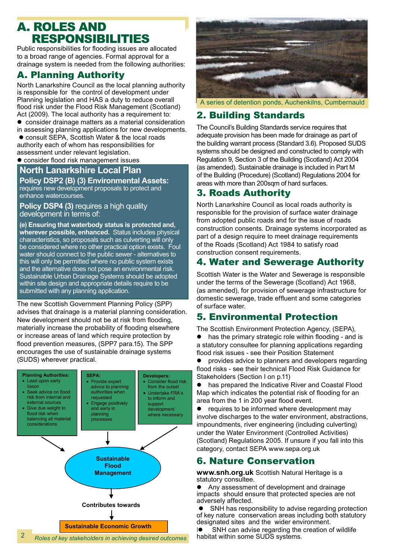# **A. ROLES AND RESPONSIBILITIES**

Public responsibilities for flooding issues are allocated to a broad range of agencies. Formal approval for a drainage system is needed from the following authorities:

## A. Planning Authority

North Lanarkshire Council as the local planning authority is responsible for the control of development under Planning legislation and HAS a duty to reduce overall flood risk under the Flood Risk Management (Scotland) Act (2009). The local authority has a requirement to:

• consider drainage matters as a material consideration in assessing planning applications for new developments.

• consult SEPA, Scottish Water & the local roads authority each of whom has responsibilities for assessment under relevant legislation.

• consider flood risk management issues

### **North Lanarkshire Local Plan**

#### **Policy DSP2 (B) (3) Environmental Assets:**

requires new development proposals to protect and enhance watercourses.

**Policy DSP4 (3)** requires a high quality development in terms of:

**(e) Ensuring that waterbody status is protected and, wherever possible, enhanced.** Status includes physical characteristics, so proposals such as culverting will only be considered where no other practical option exists. Foul water should connect to the public sewer - alternatives to this will only be permitted where no public system exists and the alternative does not pose an environmental risk. Sustainable Urban Drainage Systems should be adopted within site design and appropriate details require to be submitted with any planning application.

The new Scottish Government Planning Policy (SPP) advises that drainage is a material planning consideration. New development should not be at risk from flooding, materially increase the probability of flooding elsewhere or increase areas of land which require protection by flood prevention measures, (SPP7 para.15). The SPP encourages the use of sustainable drainage systems (SUDS) wherever practical.





A series of detention ponds, Auchenkilns, Cumbernauld

## 2. Building Standards

The Council's Building Standards service requires that adequate provision has been made for drainage as part of the building warrant process (Standard 3.6). Proposed SUDS systems should be designed and constructed to comply with Regulation 9, Section 3 of the Building (Scotland) Act 2004 (as amended). Sustainable drainage is included in Part M of the Building (Procedure) (Scotland) Regulations 2004 for areas with more than 200sqm of hard surfaces.

## 3. Roads Authority

North Lanarkshire Council as local roads authority is responsible for the provision of surface water drainage from adopted public roads and for the issue of roads construction consents. Drainage systems incorporated as part of a design require to meet drainage requirements of the Roads (Scotland) Act 1984 to satisfy road construction consent requirements.

## 4. Water and Sewerage Authority

Scottish Water is the Water and Sewerage is responsible under the terms of the Sewerage (Scotland) Act 1968, (as amended), for provision of sewerage infrastructure for domestic sewerage, trade effluent and some categories of surface water.

### 5. Environmental Protection

The Scottish Environment Protection Agency, (SEPA),  $\bullet$  has the primary strategic role within flooding - and is a statutory consultee for planning applications regarding flood risk issues - see their Position Statement

• provides advice to planners and developers regarding flood risks - see their technical Flood Risk Guidance for Stakeholders (Section I on p.11)

• has prepared the Indicative River and Coastal Flood Map which indicates the potential risk of flooding for an area from the 1 in 200 year flood event.

 $\bullet$  requires to be informed where development may involve discharges to the water environment, abstractions, impoundments, river engineering (including culverting) under the Water Environment (Controlled Activities) (Scotland) Regulations 2005. If unsure if you fall into this category, contact SEPA www.sepa.org.uk

## 6. Nature Conservation

**www.snh.org.uk** Scottish Natural Heritage is a statutory consultee.

l Any assessment of development and drainage impacts should ensure that protected species are not adversely affected.

SNH has responsibility to advise regarding protection of key nature conservation areas including both statutory designated sites and the wider environment.

 $\blacksquare$  SNH can advise regarding the creation of wildlife habitat within some SUDS systems.

2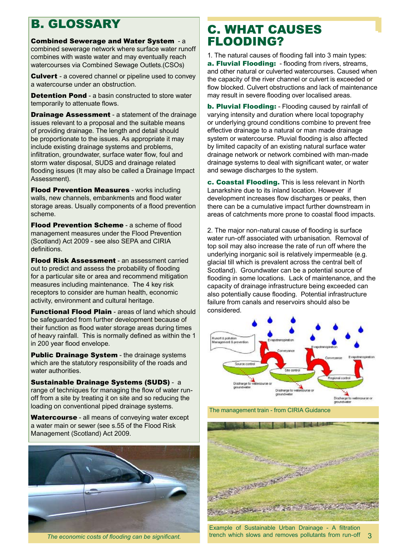# B. GLOSSARY

Combined Sewerage and Water System - a combined sewerage network where surface water runoff combines with waste water and may eventually reach watercourses via Combined Sewage Outlets.(CSOs)

**Culvert** - a covered channel or pipeline used to convey a watercourse under an obstruction.

**Detention Pond** - a basin constructed to store water temporarily to attenuate flows.

**Drainage Assessment** - a statement of the drainage issues relevant to a proposal and the suitable means of providing drainage. The length and detail should be proportionate to the issues. As appropriate it may include existing drainage systems and problems, infiltration, groundwater, surface water flow, foul and storm water disposal, SUDS and drainage related flooding issues (It may also be called a Drainage Impact Assessment).

Flood Prevention Measures - works including walls, new channels, embankments and flood water storage areas. Usually components of a flood prevention scheme.

**Flood Prevention Scheme** - a scheme of flood management measures under the Flood Prevention (Scotland) Act 2009 - see also SEPA and CIRIA definitions.

Flood Risk Assessment - an assessment carried out to predict and assess the probability of flooding for a particular site or area and recommend mitigation measures including maintenance. The 4 key risk receptors to consider are human health, economic activity, environment and cultural heritage.

**Functional Flood Plain - areas of land which should** be safeguarded from further development because of their function as flood water storage areas during times of heavy rainfall. This is normally defined as within the 1 in 200 year flood envelope.

**Public Drainage System** - the drainage systems which are the statutory responsibility of the roads and water authorities.

Sustainable Drainage Systems (SUDS) - a range of techniques for managing the flow of water runoff from a site by treating it on site and so reducing the loading on conventional piped drainage systems.

Watercourse - all means of conveying water except a water main or sewer (see s.55 of the Flood Risk Management (Scotland) Act 2009.



*The economic costs of flooding can be significant.*

# C. WHAT CAUSES FLOODING?

1. The natural causes of flooding fall into 3 main types: a. Fluvial Flooding: - flooding from rivers, streams, and other natural or culverted watercourses. Caused when the capacity of the river channel or culvert is exceeded or flow blocked. Culvert obstructions and lack of maintenance may result in severe flooding over localised areas.

b. Pluvial Flooding: - Flooding caused by rainfall of varying intensity and duration where local topography or underlying ground conditions combine to prevent free effective drainage to a natural or man made drainage system or watercourse. Pluvial flooding is also affected by limited capacity of an existing natural surface water drainage network or network combined with man-made drainage systems to deal with significant water, or water and sewage discharges to the system.

c. Coastal Flooding. This is less relevant in North Lanarkshire due to its inland location. However if development increases flow discharges or peaks, then there can be a cumulative impact further downstream in areas of catchments more prone to coastal flood impacts.

2. The major non-natural cause of flooding is surface water run-off associated with urbanisation. Removal of top soil may also increase the rate of run off where the underlying inorganic soil is relatively impermeable (e.g. glacial till which is prevalent across the central belt of Scotland). Groundwater can be a potential source of flooding in some locations. Lack of maintenance, and the capacity of drainage infrastructure being exceeded can also potentially cause flooding. Potential infrastructure failure from canals and reservoirs should also be considered.



The management train - from CIRIA Guidance



Example of Sustainable Urban Drainage - A filtration trench which slows and removes pollutants from run-off 3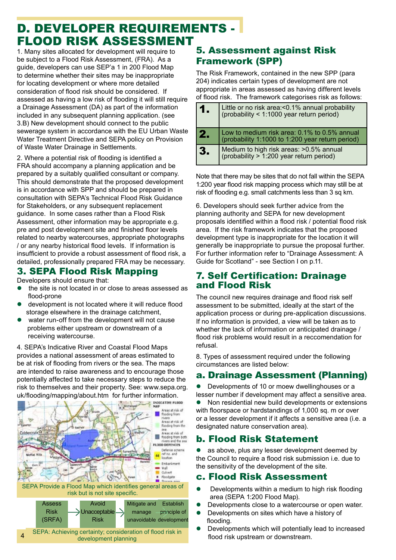# D. DEVELOPER REQUIREMENTS - FLOOD RISK ASSESSMENT

1. Many sites allocated for development will require to be subject to a Flood Risk Assessment, (FRA). As a guide, developers can use SEP'a 1 in 200 Flood Map to determine whether their sites may be inappropriate for locating development or where more detailed consideration of flood risk should be considered. If assessed as having a low risk of flooding it will still require a Drainage Assessment (DA) as part of the information included in any subsequent planning application. (see 3.B) New development should connect to the public sewerage system in accordance with the EU Urban Waste Water Treatment Directive and SEPA policy on Provision of Waste Water Drainage in Settlements.

2. Where a potential risk of flooding is identified a FRA should accompany a planning application and be prepared by a suitably qualified consultant or company. This should demonstrate that the proposed development is in accordance with SPP and should be prepared in consultation with SEPA's Technical Flood Risk Guidance for Stakeholders, or any subsequent replacement guidance. In some cases rather than a Flood Risk Assessment, other information may be appropriate e.g. pre and post development site and finished floor levels related to nearby watercourses, appropriate photographs / or any nearby historical flood levels. If information is insufficient to provide a robust assessment of flood risk, a detailed, professionally prepared FRA may be necessary.

## 3. SEPA Flood Risk Mapping

Developers should ensure that:

- $\bullet$  the site is not located in or close to areas assessed as flood-prone
- $\bullet$  development is not located where it will reduce flood storage elsewhere in the drainage catchment,
- $\bullet$  water run-off from the development will not cause problems either upstream or downstream of a receiving watercourse.

4. SEPA's Indicative River and Coastal Flood Maps provides a national assessment of areas estimated to be at risk of flooding from rivers or the sea. The maps are intended to raise awareness and to encourage those potentially affected to take necessary steps to reduce the risk to themselves and their property. See: www.sepa.org. uk/flooding/mapping/about.htm for further information.



# 5. Assessment against Risk Framework (SPP)

The Risk Framework, contained in the new SPP (para 204) indicates certain types of development are not appropriate in areas assessed as having different levels of flood risk. The framework categorises risk as follows:

| 1.  | Little or no risk area:<0.1% annual probability (probability < 1:1000 year return period)        |
|-----|--------------------------------------------------------------------------------------------------|
| 12. | Low to medium risk area: 0.1% to 0.5% annual<br>(probability 1:1000 to 1:200 year return period) |
| 3.  | Medium to high risk areas: >0.5% annual (probability > 1:200 year return period)                 |

Note that there may be sites that do not fall within the SEPA 1:200 year flood risk mapping process which may still be at risk of flooding e.g. small catchments less than 3 sq km.

6. Developers should seek further advice from the planning authority and SEPA for new development proposals identified within a flood risk / potential flood risk area. If the risk framework indicates that the proposed development type is inappropriate for the location it will generally be inappropriate to pursue the proposal further. For further information refer to "Drainage Assessment: A Guide for Scotland" - see Section I on p.11.

### 7. Self Certification: Drainage and Flood Risk

The council new requires drainage and flood risk self assessment to be submitted, ideally at the start of the application process or during pre-application discussions. If no information is provided, a view will be taken as to whether the lack of information or anticipated drainage / flood risk problems would result in a reccomendation for refusal.

8. Types of assessment required under the following circumstances are listed below:

## a. Drainage Assessment (Planning)

Developments of 10 or moew dwellinghouses or a lesser number if development may affect a sensitive area. Non residential new build developments or extensions with floorspace or hardstandings of 1,000 sq. m or over or a lesser development if it affects a sensitive area (i.e. a designated nature conservation area).

## b. Flood Risk Statement

as above, plus any lesser development deemed by the Council to require a flood risk submission i.e. due to the sensitivity of the development of the site.

### c. Flood Risk Assessment

- $\bullet$  Developments within a medium to high risk flooding area (SEPA 1:200 Flood Map).
- **•** Developments close to a watercourse or open water.
- **•** Developments on sites which have a history of flooding.
- Developments which will potentially lead to increased flood risk upstream or downstream.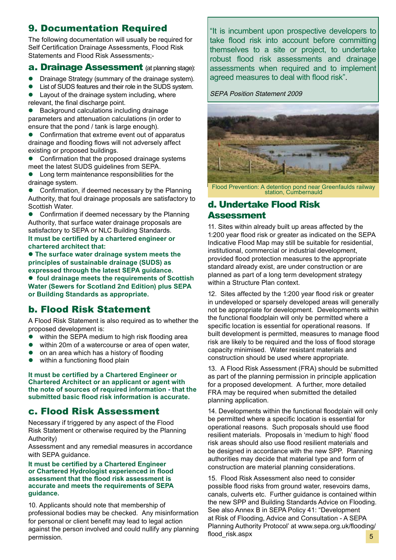## 9. Documentation Required

The following documentation will usually be required for Self Certification Drainage Assessments, Flood Risk Statements and Flood Risk Assessments;-

#### **a. Drainage Assessment** (at planning stage):

- **•** Drainage Strategy (summary of the drainage system).<br>• List of SLIDS features and their role in the SLIDS system
- List of SUDS features and their role in the SUDS system.
- $\bullet$  Layout of the drainage system including, where relevant, the final discharge point.

l Background calculations including drainage parameters and attenuation calculations (in order to ensure that the pond / tank is large enough).

Confirmation that extreme event out of apparatus drainage and flooding flows will not adversely affect existing or proposed buildings.

• Confirmation that the proposed drainage systems meet the latest SUDS guidelines from SEPA.

l Long term maintenance responsibilities for the drainage system.

 $\bullet$  Confirmation, if deemed necessary by the Planning Authority, that foul drainage proposals are satisfactory to Scottish Water.

• Confirmation if deemed necessary by the Planning Authority, that surface water drainage proposals are satisfactory to SEPA or NLC Building Standards. **It must be certified by a chartered engineer or chartered architect that:**

 $\bullet$  **The surface water drainage system meets the principles of sustainable drainage (SUDS) as expressed through the latest SEPA guidance.** l **foul drainage meets the requirements of Scottish Water (Sewers for Scotland 2nd Edition) plus SEPA or Building Standards as appropriate.**

## b. Flood Risk Statement

A Flood Risk Statement is also required as to whether the proposed development is:

- within the SEPA medium to high risk flooding area
- $\bullet$  within 20m of a watercourse or area of open water,
- $\bullet$  on an area which has a history of flooding<br> $\bullet$  within a functioning flood plain
- within a functioning flood plain

**It must be certified by a Chartered Engineer or Chartered Architect or an applicant or agent with the note of sources of required information - that the submitted basic flood risk information is accurate.**

## c. Flood Risk Assessment

Necessary if triggered by any aspect of the Flood Risk Statement or otherwise required by the Planning Authority)

Assessment and any remedial measures in accordance with SEPA guidance.

#### **It must be certified by a Chartered Engineer or Chartered Hydrologist experienced in flood assessment that the flood risk assessment is accurate and meets the requirements of SEPA guidance.**

10. Applicants should note that membership of professional bodies may be checked. Any misinformation for personal or client benefit may lead to legal action against the person involved and could nullify any planning permission.

"It is incumbent upon prospective developers to take flood risk into account before committing themselves to a site or project, to undertake robust flood risk assessments and drainage assessments when required and to implement agreed measures to deal with flood risk".

#### SEPA Position Statement 2009



Flood Prevention: A detention pond near Greenfaulds railway station, Cumbernauld

#### d. Undertake Flood Risk **Assessment**

11. Sites within already built up areas affected by the 1:200 year flood risk or greater as indicated on the SEPA Indicative Flood Map may still be suitable for residential, institutional, commercial or industrial development, provided flood protection measures to the appropriate standard already exist, are under construction or are planned as part of a long term development strategy within a Structure Plan context.

12. Sites affected by the 1:200 year flood risk or greater in undeveloped or sparsely developed areas will generally not be appropriate for development. Developments within the functional floodplain will only be permitted where a specific location is essential for operational reasons. If built development is permitted, measures to manage flood risk are likely to be required and the loss of flood storage capacity minimised. Water resistant materials and construction should be used where appropriate.

13. A Flood Risk Assessment (FRA) should be submitted as part of the planning permission in principle application for a proposed development. A further, more detailed FRA may be required when submitted the detailed planning application.

14. Developments within the functional floodplain will only be permitted where a specific location is essential for operational reasons. Such proposals should use flood resilient materials. Proposals in 'medium to high' flood risk areas should also use flood resilient materials and be designed in accordance with the new SPP. Planning authorities may decide that material type and form of construction are material planning considerations.

5 15. Flood Risk Assessment also need to consider possible flood risks from ground water, resevoirs dams, canals, culverts etc. Further guidance is contained within the new SPP and Building Standards Advice on Flooding. See also Annex B in SEPA Policy 41: "Development at Risk of Flooding, Advice and Consultation - A SEPA Planning Authority Protocol' at www.sepa.org.uk/flooding/ flood\_risk.aspx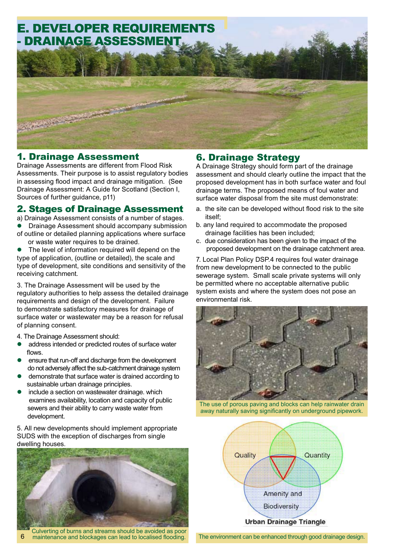

#### 1. Drainage Assessment

Drainage Assessments are different from Flood Risk Assessments. Their purpose is to assist regulatory bodies in assessing flood impact and drainage mitigation. (See Drainage Assessment: A Guide for Scotland (Section I, Sources of further guidance, p11)

#### 2. Stages of Drainage Assessment

a) Drainage Assessment consists of a number of stages.

- Drainage Assessment should accompany submission
- of outline or detailed planning applications where surface or waste water requires to be drained.
- The level of information required will depend on the type of application, (outline or detailed), the scale and type of development, site conditions and sensitivity of the receiving catchment.

3. The Drainage Assessment will be used by the regulatory authorities to help assess the detailed drainage requirements and design of the development. Failure to demonstrate satisfactory measures for drainage of surface water or wastewater may be a reason for refusal of planning consent.

- 4. The Drainage Assessment should:
- address intended or predicted routes of surface water flows.
- ensure that run-off and discharge from the development do not adversely affect the sub-catchment drainage system
- l demonstrate that surface water is drained according to sustainable urban drainage principles.
- include a section on wastewater drainage. which examines availability, location and capacity of public sewers and their ability to carry waste water from development.

5. All new developments should implement appropriate SUDS with the exception of discharges from single dwelling houses.



Culverting of burns and streams should be avoided as poor 6 maintenance and blockages can lead to localised flooding.

## 6. Drainage Strategy

A Drainage Strategy should form part of the drainage assessment and should clearly outline the impact that the proposed development has in both surface water and foul drainage terms. The proposed means of foul water and surface water disposal from the site must demonstrate:

- a. the site can be developed without flood risk to the site itself;
- b. any land required to accommodate the proposed drainage facilities has been included;
- c. due consideration has been given to the impact of the proposed development on the drainage catchment area.

7. Local Plan Policy DSP.4 requires foul water drainage from new development to be connected to the public sewerage system. Small scale private systems will only be permitted where no acceptable alternative public system exists and where the system does not pose an environmental risk.



The use of porous paving and blocks can help rainwater drain away naturally saving significantly on underground pipework.



The environment can be enhanced through good drainage design.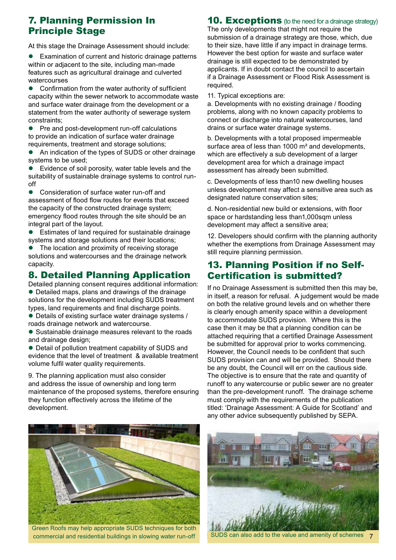## 7. Planning Permission In Principle Stage

At this stage the Drainage Assessment should include:

Examination of current and historic drainage patterns within or adjacent to the site, including man-made features such as agricultural drainage and culverted watercourses

Confirmation from the water authority of sufficient capacity within the sewer network to accommodate waste and surface water drainage from the development or a statement from the water authority of sewerage system constraints;

• Pre and post-development run-off calculations to provide an indication of surface water drainage requirements, treatment and storage solutions;

An indication of the types of SUDS or other drainage systems to be used;

Evidence of soil porosity, water table levels and the suitability of sustainable drainage systems to control runoff

Consideration of surface water run-off and assessment of flood flow routes for events that exceed the capacity of the constructed drainage system; emergency flood routes through the site should be an integral part of the layout.

• Estimates of land required for sustainable drainage systems and storage solutions and their locations;

The location and proximity of receiving storage solutions and watercourses and the drainage network capacity.

## 8. Detailed Planning Application

Detailed planning consent requires additional information: • Detailed maps, plans and drawings of the drainage solutions for the development including SUDS treatment types, land requirements and final discharge points.

• Details of existing surface water drainage systems / roads drainage network and watercourse.

• Sustainable drainage measures relevant to the roads and drainage design;

• Detail of pollution treatment capability of SUDS and evidence that the level of treatment & available treatment volume fulfil water quality requirements.

9. The planning application must also consider and address the issue of ownership and long term maintenance of the proposed systems, therefore ensuring they function effectively across the lifetime of the development.

#### **10. Exceptions** (to the need for a drainage strategy)

The only developments that might not require the submission of a drainage strategy are those, which, due to their size, have little if any impact in drainage terms. However the best option for waste and surface water drainage is still expected to be demonstrated by applicants. If in doubt contact the council to ascertain if a Drainage Assessment or Flood Risk Assessment is required.

11. Typical exceptions are:

a. Developments with no existing drainage / flooding problems, along with no known capacity problems to connect or discharge into natural watercourses, land drains or surface water drainage systems.

b. Developments with a total proposed impermeable surface area of less than 1000 m<sup>2</sup> and developments, which are effectively a sub development of a larger development area for which a drainage impact assessment has already been submitted.

c. Developments of less than10 new dwelling houses unless development may affect a sensitive area such as designated nature conservation sites;

d. Non-residential new build or extensions, with floor space or hardstanding less than1,000sqm unless development may affect a sensitive area;

12. Developers should confirm with the planning authority whether the exemptions from Drainage Assessment may still require planning permission.

## 13. Planning Position if no Self-Certification is submitted?

If no Drainage Assessment is submitted then this may be, in itself, a reason for refusal. A judgement would be made on both the relative ground levels and on whether there is clearly enough amenity space within a development to accommodate SUDS provision. Where this is the case then it may be that a planning condition can be attached requiring that a certified Drainage Assessment be submitted for approval prior to works commencing. However, the Council needs to be confident that such SUDS provision can and will be provided. Should there be any doubt, the Council will err on the cautious side. The objective is to ensure that the rate and quantity of runoff to any watercourse or public sewer are no greater than the pre-development runoff. The drainage scheme must comply with the requirements of the publication titled: 'Drainage Assessment: A Guide for Scotland' and any other advice subsequently published by SEPA.



Green Roofs may help appropriate SUDS techniques for both commercial and residential buildings in slowing water run-off



SUDS can also add to the value and amenity of schemes 7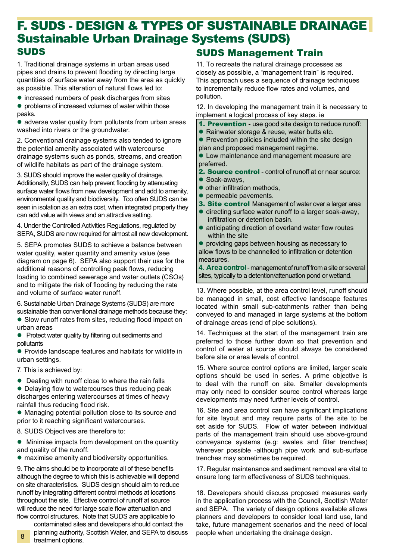# SUDS F. SUDS - DESIGN & TYPES OF SUSTAINABLE DRAINAGE Sustainable Urban Drainage Systems (SUDS)

1. Traditional drainage systems in urban areas used pipes and drains to prevent flooding by directing large quantities of surface water away from the area as quickly as possible. This alteration of natural flows led to:

 $\bullet$  increased numbers of peak discharges from sites • problems of increased volumes of water within those peaks.

• adverse water quality from pollutants from urban areas washed into rivers or the groundwater.

2. Conventional drainage systems also tended to ignore the potential amenity associated with watercourse drainage systems such as ponds, streams, and creation of wildlife habitats as part of the drainage system.

3. SUDS should improve the water quality of drainage. Additionally, SUDS can help prevent flooding by attenuating surface water flows from new development and add to amenity, environmental quality and biodiversity. Too often SUDS can be seen in isolation as an extra cost, when integrated properly they can add value with views and an attractive setting.

4. Under the Controlled Activities Regulations, regulated by SEPA, SUDS are now required for almost all new development.

5. SEPA promotes SUDS to achieve a balance between water quality, water quantity and amenity value (see diagram on page 6). SEPA also support their use for the additional reasons of controlling peak flows, reducing loading to combined sewerage and water outlets (CSOs) and to mitigate the risk of flooding by reducing the rate and volume of surface water runoff.

6. Sustainable Urban Drainage Systems (SUDS) are more sustainable than conventional drainage methods because they:

• Slow runoff rates from sites, reducing flood impact on urban areas

• Protect water quality by filtering out sediments and pollutants

• Provide landscape features and habitats for wildlife in urban settings.

7. This is achieved by:

8

 $\bullet$  Dealing with runoff close to where the rain falls

• Delaying flow to watercourses thus reducing peak discharges entering watercourses at times of heavy rainfall thus reducing flood risk.

• Managing potential pollution close to its source and prior to it reaching significant watercourses.

8. SUDS Objectives are therefore to:

 $\bullet$  Minimise impacts from development on the quantity and quality of the runoff.

 $\bullet$  maximise amenity and biodiversity opportunities.

9. The aims should be to incorporate all of these benefits although the degree to which this is achievable will depend on site characteristics. SUDS design should aim to reduce runoff by integrating different control methods at locations throughout the site. Effective control of runoff at source will reduce the need for large scale flow attenuation and flow control structures. Note that SUDS are applicable to

contaminated sites and developers should contact the planning authority, Scottish Water, and SEPA to discuss treatment options.

## SUDS Management Train

11. To recreate the natural drainage processes as closely as possible, a "management train" is required. This approach uses a sequence of drainage techniques to incrementally reduce flow rates and volumes, and pollution.

12. In developing the management train it is necessary to implement a logical process of key steps. ie

- 1. Prevention use good site design to reduce runoff:
- Rainwater storage & reuse, water butts etc.
- $\bullet$  Prevention policies included within the site design
- plan and proposed management regime.

• Low maintenance and management measure are preferred.

2. Source control - control of runoff at or near source:

- Soak-aways,
- $\bullet$  other infiltration methods.
- $\bullet$  permeable pavements.
- 3. Site control Management of water over a larger area
- $\bullet$  directing surface water runoff to a larger soak-away, infiltration or detention basin.
- $\bullet$  anticipating direction of overland water flow routes within the site

• providing gaps between housing as necessary to allow flows to be channelled to infiltration or detention measures.

**4. Area control** - management of runoff from a site or several sites, typically to a detention/attenuation pond or wetland.

13. Where possible, at the area control level, runoff should be managed in small, cost effective landscape features located within small sub-catchments rather than being conveyed to and managed in large systems at the bottom of drainage areas (end of pipe solutions).

14. Techniques at the start of the management train are preferred to those further down so that prevention and control of water at source should always be considered before site or area levels of control.

15. Where source control options are limited, larger scale options should be used in series. A prime objective is to deal with the runoff on site. Smaller developments may only need to consider source control whereas large developments may need further levels of control.

16. Site and area control can have significant implications for site layout and may require parts of the site to be set aside for SUDS. Flow of water between individual parts of the management train should use above-ground conveyance systems (e.g: swales and filter trenches) wherever possible -although pipe work and sub-surface trenches may sometimes be required.

17. Regular maintenance and sediment removal are vital to ensure long term effectiveness of SUDS techniques.

18. Developers should discuss proposed measures early in the application process with the Council, Scottish Water and SEPA. The variety of design options available allows planners and developers to consider local land use, land take, future management scenarios and the need of local people when undertaking the drainage design.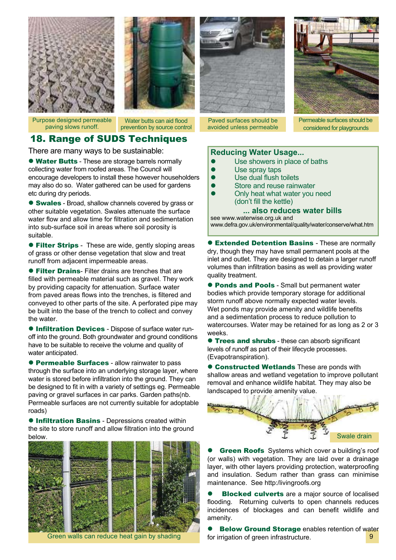



Purpose designed permeable paving slows runoff.

Water butts can aid flood prevention by source control

## 18. Range of SUDS Techniques

There are many ways to be sustainable:

**. Water Butts** - These are storage barrels normally collecting water from roofed areas. The Council will encourage developers to install these however householders may also do so. Water gathered can be used for gardens etc during dry periods.

**Swales** - Broad, shallow channels covered by grass or other suitable vegetation. Swales attenuate the surface water flow and allow time for filtration and sedimentation into sub-surface soil in areas where soil porosity is suitable.

**• Filter Strips** - These are wide, gently sloping areas of grass or other dense vegetation that slow and treat runoff from adjacent impermeable areas.

**• Filter Drains-** Filter drains are trenches that are filled with permeable material such as gravel. They work by providing capacity for attenuation. Surface water from paved areas flows into the trenches, is filtered and conveyed to other parts of the site. A perforated pipe may be built into the base of the trench to collect and convey the water.

**.** Infiltration Devices - Dispose of surface water runoff into the ground. Both groundwater and ground conditions have to be suitable to receive the volume and quality of water anticipated.

**• Permeable Surfaces** - allow rainwater to pass through the surface into an underlying storage layer, where water is stored before infiltration into the ground. They can be designed to fit in with a variety of settings eg. Permeable paving or gravel surfaces in car parks. Garden paths(nb. Permeable surfaces are not currently suitable for adoptable roads)

 $\bullet$  **Infiltration Basins** - Depressions created within the site to store runoff and allow filtration into the ground below.





Paved surfaces should be avoided unless permeable



Permeable surfaces should be considered for playgrounds

#### **Reducing Water Usage...**

- Use showers in place of baths
- Use spray taps
- Use dual flush toilets
- Store and reuse rainwater
- Only heat what water you need (don't fill the kettle)

#### **... also reduces water bills**

see www.waterwise.org.uk and www.defra.gov.uk/environmental/quality/water/conserve/what.htm

**• Extended Detention Basins - These are normally** dry, though they may have small permanent pools at the inlet and outlet. They are designed to detain a larger runoff volumes than infiltration basins as well as providing water quality treatment.

**• Ponds and Pools** - Small but permanent water bodies which provide temporary storage for additional storm runoff above normally expected water levels. Wet ponds may provide amenity and wildlife benefits and a sedimentation process to reduce pollution to watercourses. Water may be retained for as long as 2 or 3 weeks.

**Trees and shrubs** - these can absorb significant levels of runoff as part of their lifecycle processes. (Evapotranspiration).

**Constructed Wetlands These are ponds with** shallow areas and wetland vegetation to improve pollutant removal and enhance wildlife habitat. They may also be landscaped to provide amenity value.



**Green Roofs** Systems which cover a building's roof (or walls) with vegetation. They are laid over a drainage layer, with other layers providing protection, waterproofing and insulation. Sedum rather than grass can minimise maintenance. See http:/livingroofs.org

**Blocked culverts** are a major source of localised flooding. Returning culverts to open channels reduces incidences of blockages and can benefit wildlife and amenity.

Green walls can reduce heat gain by shading each region of green infrastructure. **Below Ground Storage enables retention of water** for irrigation of green infrastructure.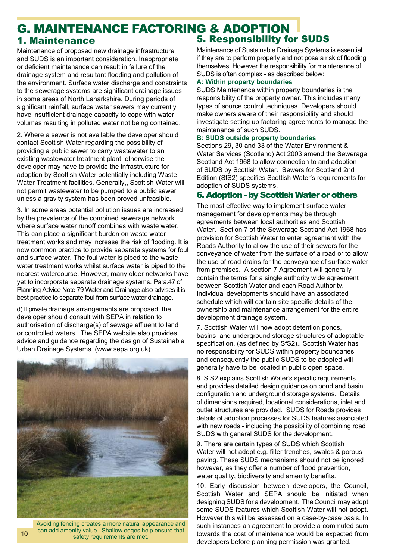# G. MAINTENANCE FACTORING & ADOPTION

Maintenance of proposed new drainage infrastructure and SUDS is an important consideration. Inappropriate or deficient maintenance can result in failure of the drainage system and resultant flooding and pollution of the environment. Surface water discharge and constraints to the sewerage systems are significant drainage issues in some areas of North Lanarkshire. During periods of significant rainfall, surface water sewers may currently have insufficient drainage capacity to cope with water volumes resulting in polluted water not being contained.

2. Where a sewer is not available the developer should contact Scottish Water regarding the possibility of providing a public sewer to carry wastewater to an existing wastewater treatment plant; otherwise the developer may have to provide the infrastructure for adoption by Scottish Water potentially including Waste Water Treatment facilities. Generally,, Scottish Water will not permit wastewater to be pumped to a public sewer unless a gravity system has been proved unfeasible.

3. In some areas potential pollution issues are increased by the prevalence of the combined sewerage network where surface water runoff combines with waste water. This can place a significant burden on waste water treatment works and may increase the risk of flooding. It is now common practice to provide separate systems for foul and surface water. The foul water is piped to the waste water treatment works whilst surface water is piped to the nearest watercourse. However, many older networks have yet to incorporate separate drainage systems. Para.47 of Planning Advice Note 79 Water and Drainage also advises it is best practice to separate foul from surface water drainage.

d) If private drainage arrangements are proposed, the developer should consult with SEPA in relation to authorisation of discharge(s) of sewage effluent to land or controlled waters. The SEPA website also provides advice and guidance regarding the design of Sustainable Urban Drainage Systems. (www.sepa.org.uk)



Avoiding fencing creates a more natural appearance and can add amenity value. Shallow edges help ensure that safety requirements are met.

# 1. Maintenance 5. Responsibility for SUDS

Maintenance of Sustainable Drainage Systems is essential if they are to perform properly and not pose a risk of flooding themselves. However the responsibility for maintenance of SUDS is often complex - as described below:

#### **A: Within property boundaries**

SUDS Maintenance within property boundaries is the responsibility of the property owner. This includes many types of source control techniques. Developers should make owners aware of their responsibility and should investigate setting up factoring agreements to manage the maintenance of such SUDS.

#### **B: SUDS outside property boundaries**

Sections 29, 30 and 33 of the Water Environment & Water Services (Scotland) Act 2003 amend the Sewerage Scotland Act 1968 to allow connection to and adoption of SUDS by Scottish Water. Sewers for Scotland 2nd Edition (SfS2) specifies Scottish Water's requirements for adoption of SUDS systems.

#### 6. Adoption - by Scottish Water or others

The most effective way to implement surface water management for developments may be through agreements between local authorities and Scottish Water. Section 7 of the Sewerage Scotland Act 1968 has provision for Scottish Water to enter agreement with the Roads Authority to allow the use of their sewers for the conveyance of water from the surface of a road or to allow the use of road drains for the conveyance of surface water from premises. A section 7 Agreement will generally contain the terms for a single authority wide agreement between Scottish Water and each Road Authority. Individual developments should have an associated schedule which will contain site specific details of the ownership and maintenance arrangement for the entire development drainage system.

7. Scottish Water will now adopt detention ponds, basins and underground storage structures of adoptable specification, (as defined by SfS2).. Scottish Water has no responsibility for SUDS within property boundaries and consequently the public SUDS to be adopted will generally have to be located in public open space.

8. SfS2 explains Scottish Water's specific requirements and provides detailed design guidance on pond and basin configuration and underground storage systems. Details of dimensions required, locational considerations, inlet and outlet structures are provided. SUDS for Roads provides details of adoption processes for SUDS features associated with new roads - including the possibility of combining road SUDS with general SUDS for the development.

9. There are certain types of SUDS which Scottish Water will not adopt e.g. filter trenches, swales & porous paving. These SUDS mechanisms should not be ignored however, as they offer a number of flood prevention, water quality, biodiversity and amenity benefits.

10. Early discussion between developers, the Council, Scottish Water and SEPA should be initiated when designing SUDS for a development. The Council may adopt some SUDS features which Scottish Water will not adopt. However this will be assessed on a case-by-case basis. In such instances an agreement to provide a commuted sum towards the cost of maintenance would be expected from developers before planning permission was granted.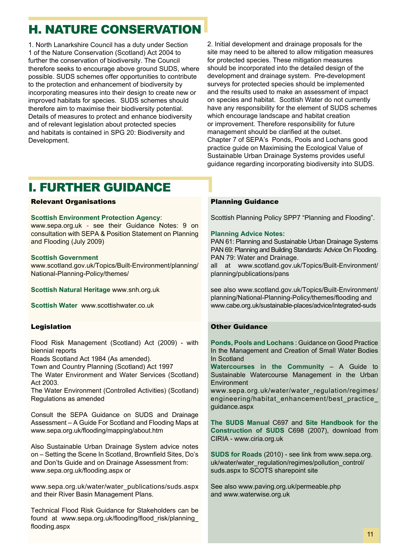# H. NATURE CONSERVATION

1. North Lanarkshire Council has a duty under Section 1 of the Nature Conservation (Scotland) Act 2004 to further the conservation of biodiversity. The Council therefore seeks to encourage above ground SUDS, where possible. SUDS schemes offer opportunities to contribute to the protection and enhancement of biodiversity by incorporating measures into their design to create new or improved habitats for species. SUDS schemes should therefore aim to maximise their biodiversity potential. Details of measures to protect and enhance biodiversity and of relevant legislation about protected species and habitats is contained in SPG 20: Biodiversity and Development.

2. Initial development and drainage proposals for the site may need to be altered to allow mitigation measures for protected species. These mitigation measures should be incorporated into the detailed design of the development and drainage system. Pre-development surveys for protected species should be implemented and the results used to make an assessment of impact on species and habitat. Scottish Water do not currently have any responsibility for the element of SUDS schemes which encourage landscape and habitat creation or improvement. Therefore responsibility for future management should be clarified at the outset. Chapter 7 of SEPA's Ponds, Pools and Lochans good practice guide on Maximising the Ecological Value of Sustainable Urban Drainage Systems provides useful guidance regarding incorporating biodiversity into SUDS.

# I. FURTHER GUIDANCE

#### Relevant Organisations

#### **Scottish Environment Protection Agency**:

www.sepa.org.uk - see their Guidance Notes: 9 on consultation with SEPA & Position Statement on Planning and Flooding (July 2009)

#### **Scottish Government**

www.scotland.gov.uk/Topics/Built-Environment/planning/ National-Planning-Policy/themes/

**Scottish Natural Heritage** www.snh.org.uk

**Scottish Water** www.scottishwater.co.uk

#### Legislation

Flood Risk Management (Scotland) Act (2009) - with biennial reports

Roads Scotland Act 1984 (As amended).

Town and Country Planning (Scotland) Act 1997

The Water Environment and Water Services (Scotland) Act 2003.

The Water Environment (Controlled Activities) (Scotland) Regulations as amended

Consult the SEPA Guidance on SUDS and Drainage Assessment – A Guide For Scotland and Flooding Maps at www.sepa.org.uk/flooding/mapping/about.htm

Also Sustainable Urban Drainage System advice notes on – Setting the Scene In Scotland, Brownfield Sites, Do's and Don'ts Guide and on Drainage Assessment from: www.sepa.org.uk/flooding.aspx or

www.sepa.org.uk/water/water\_publications/suds.aspx and their River Basin Management Plans.

Technical Flood Risk Guidance for Stakeholders can be found at www.sepa.org.uk/flooding/flood risk/planning flooding.aspx

#### Planning Guidance

Scottish Planning Policy SPP7 "Planning and Flooding".

#### **Planning Advice Notes:**

PAN 61: Planning and Sustainable Urban Drainage Systems PAN 69: Planning and Building Standards: Advice On Flooding. PAN 79: Water and Drainage.

all at www.scotland.gov.uk/Topics/Built-Environment/ planning/publications/pans

see also www.scotland.gov.uk/Topics/Built-Environment/ planning/National-Planning-Policy/themes/flooding and www.cabe.org.uk/sustainable-places/advice/integrated-suds

#### Other Guidance

**Ponds, Pools and Lochans** : Guidance on Good Practice In the Management and Creation of Small Water Bodies In Scotland

**Watercourses in the Community** – A Guide to Sustainable Watercourse Management in the Urban Environment

www.sepa.org.uk/water/water\_regulation/regimes/ engineering/habitat\_enhancement/best\_practice\_ guidance.aspx

**The SUDS Manua**l C697 and **Site Handbook for the Construction of SUDS** C698 (2007), download from CIRIA - www.ciria.org.uk

**SUDS for Roads** (2010) - see link from www.sepa.org. uk/water/water\_regulation/regimes/pollution\_control/ suds.aspx to SCOTS sharepoint site

See also www.paving.org.uk/permeable.php and www.waterwise.org.uk